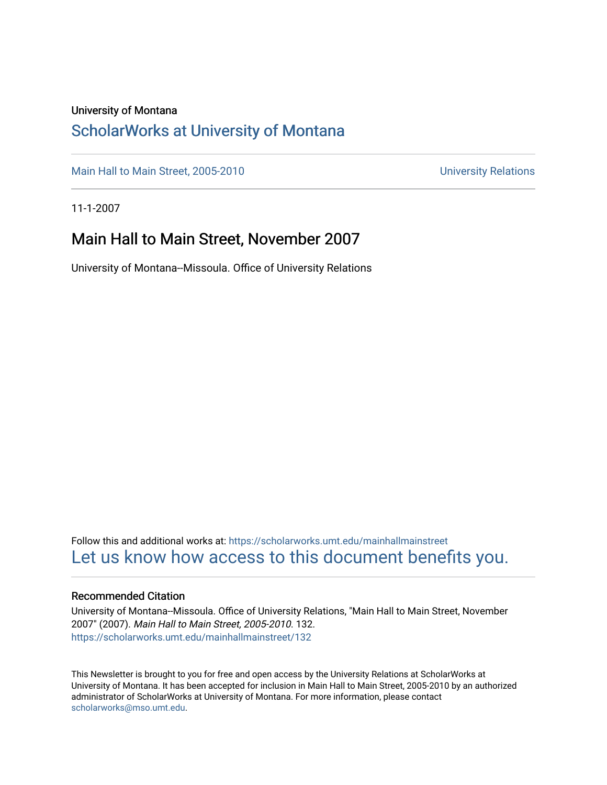#### University of Montana

### [ScholarWorks at University of Montana](https://scholarworks.umt.edu/)

[Main Hall to Main Street, 2005-2010](https://scholarworks.umt.edu/mainhallmainstreet) Main Hall to Main Street, 2005-2010

11-1-2007

#### Main Hall to Main Street, November 2007

University of Montana--Missoula. Office of University Relations

Follow this and additional works at: [https://scholarworks.umt.edu/mainhallmainstreet](https://scholarworks.umt.edu/mainhallmainstreet?utm_source=scholarworks.umt.edu%2Fmainhallmainstreet%2F132&utm_medium=PDF&utm_campaign=PDFCoverPages) [Let us know how access to this document benefits you.](https://goo.gl/forms/s2rGfXOLzz71qgsB2) 

#### Recommended Citation

University of Montana--Missoula. Office of University Relations, "Main Hall to Main Street, November 2007" (2007). Main Hall to Main Street, 2005-2010. 132. [https://scholarworks.umt.edu/mainhallmainstreet/132](https://scholarworks.umt.edu/mainhallmainstreet/132?utm_source=scholarworks.umt.edu%2Fmainhallmainstreet%2F132&utm_medium=PDF&utm_campaign=PDFCoverPages)

This Newsletter is brought to you for free and open access by the University Relations at ScholarWorks at University of Montana. It has been accepted for inclusion in Main Hall to Main Street, 2005-2010 by an authorized administrator of ScholarWorks at University of Montana. For more information, please contact [scholarworks@mso.umt.edu.](mailto:scholarworks@mso.umt.edu)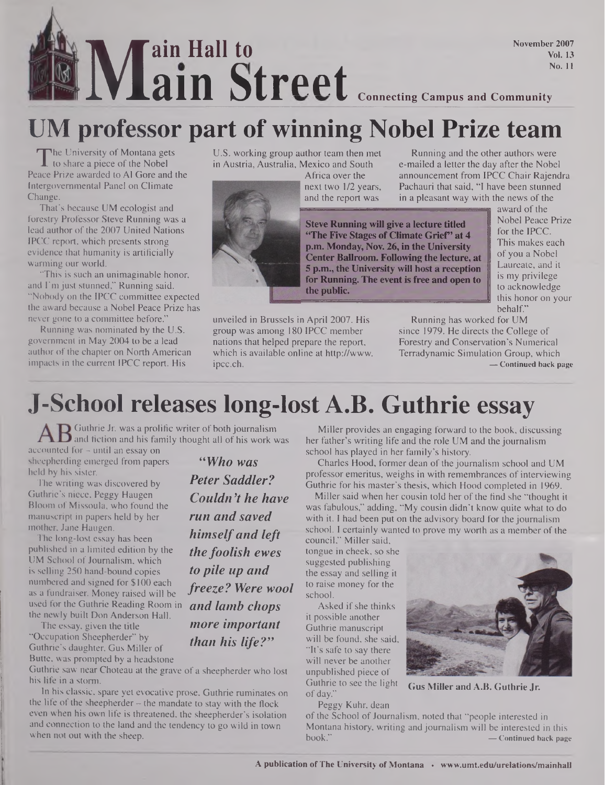

# **UM professor part of winning Nobel Prize team**

 $\prod_{\text{face}}$ The University of Montana gets to share a piece of the Nobel Peace Prize awarded to Al Gore and the Intergovernmental Panel on Climate Change.

That's because UM ecologist and forestry Professor Steve Running was a lead author of the 2007 United Nations IPCC report, which presents strong evidence that humanity is artificially warming our world.

"This is such an unimaginable honor, and I'm just stunned," Running said. "Nobody on the IPCC committee expected the award because a Nobel Peace Prize has never gone to a committee before."

Running was nominated by the U.S. government in May 2004 to be a lead author of the chapter on North American impacts in the current IPCC report. His

U.S. working group author team then met in Austria, Australia, Mexico and South

Africa over the next two 1/2 years, and the report was





ipcc.ch.

*Peter Saddler?*

*run and saved himselfand left thefoolish ewes to pile up and*

*Couldn't he have*

*freeze? Were wool*

*more important than his life?"*

**Steve Running will give a lecture titled "The Five Stages of Climate Grief" at 4 p.m. Monday, Nov. 26, in the University Center Ballroom. Following the lecture, at 5 p.m., the University will host a reception for Running. The eventis free and open to the public.**

award of the Nobel Peace Prize for the IPCC. This makes each of you a Nobel Laureate, and it is my privilege to acknowledge this honor on your behalf."

Running has worked for UM since 1979. He directs the College of Forestry and Conservation's Numerical Terradynamic Simulation Group, which **— Continued back page**

## **J-School releases long-lost A.B. Guthrie essay**

unveiled in Brussels in April 2007. His group was among 180 IPCC member nations that helped prepare the report, which is available online at http://www.

Guthrie Jr. was a prolific writer of both journalism and fiction and his family thought all of his work was accounted for - until an essay on **"W7zo** *was*

sheepherding emerged from papers held by his sister.

The writing was discovered by Guthrie's niece, Peggy Haugen Bloom of Missoula, who found the manuscript in papers held by her mother, Jane Haugen.

The long-lost essay has been published in a limited edition by the UM School of Journalism, which is selling 250 hand-bound copies numbered and signed for \$100 each as a fundraiser. Money raised will be used for the Guthrie Reading Room in *and lamb chops* the newly built Don Anderson Hall.

The essay, given the title "Occupation Sheepherder" by Guthrie's daughter, Gus Miller of Butte, was prompted by a headstone

Guthrie saw near Choteau at the grave of a sheepherder who lost his life in a storm.

In his classic, spare yet evocative prose, Guthrie ruminates on the life of the sheepherder - the mandate to stay with the flock even when his own life is threatened, the sheepherder's isolation and connection to the land and the tendency to go wild in town when not out with the sheep.

her father's writing life and the role UM and the journalism school has played in her family's history.

Charles Hood, former dean of the journalism school and UM professor emeritus, weighs in with remembrances of interviewing Guthrie for his master's thesis, which Hood completed in 1969.

was fabulous," adding, "My cousin didn't know quite what to do with it. I had been put on the advisory board for the journalism school. I certainly wanted to prove my worth as a member of the

council," Miller said, tongue in cheek, so she suggested publishing the essay and selling it to raise money for the school.

Asked if she thinks it possible another Guthrie manuscript will be found, she said, "It's safe to say there will never be another unpublished piece of Guthrie to see the light of day."

**Gus Miller and A.B. Guthrie Jr.**

Peggy Kuhr, dean of the School of Journalism, noted that "people interested in Montana history, writing and journalism will be interested in this book." $-$ Continued back page  $-$  **Continued** back page

Miller provides an engaging forward to the book, discussing

Miller said when her cousin told her of the find she "thought it

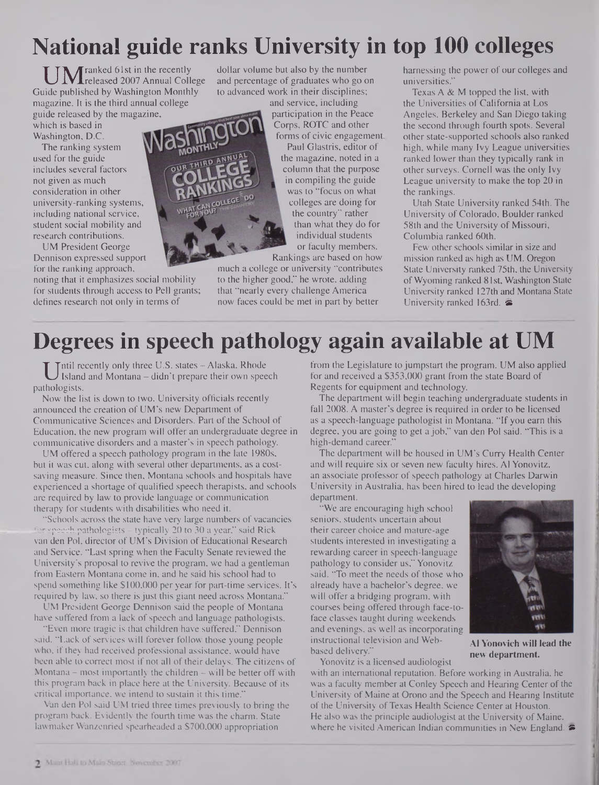# **National guide ranks University in top 100 colleges**

**T TA** *I* ranked 61st in the recently **LJ** IVJLreleased 2007 Annual College Guide published by Washington Monthly magazine. It is the third annual college guide released by the magazine,

which is based in Washington, D.C.

The ranking system used for the guide includes several factors not given as much consideration in other university-ranking systems, including national service, student social mobility and research contributions.

UM President George Dennison expressed support for the ranking approach,

noting that it emphasizes social mobility for students through access to Pell grants; defines research not only in terms of

dollar volume but also by the number and percentage of graduates who go on to advanced work in their disciplines;

> and service, including participation in the Peace Corps, ROTC and other forms of civic engagement

Paul Glastris, editor of the magazine, noted in a column that the purpose in compiling the guide was to "focus on what colleges are doing for the country" rather than what they do for individual students or faculty members.

Rankings are based on how much a college or university "contributes to the higher good," he wrote, adding that "nearly every challenge America now faces could be met in part by better

harnessing the power of our colleges and universities."

Texas A & M topped the list, with the Universities of California at Los Angeles, Berkeley and San Diego taking the second through fourth spots. Several other state-supported schools also ranked high, while many Ivy League universities ranked lower than they typically rank in other surveys. Cornell was the only Ivy League university to make the top 20 in the rankings.

Utah State University ranked 54th. The University of Colorado, Boulder ranked 58th and the University of Missouri, Columbia ranked 60th.

Few other schools similar in size and mission ranked as high as UM. Oregon State University ranked 75th, the University ofWyoming ranked 81st, Washington State University ranked 127th and Montana State University ranked 163rd. &

# **Degrees in speech pathology again available at UM**

U island and N<br>thologists. Thtil recently only three U.S. states - Alaska, Rhode Island and Montana - didn'<sup>t</sup> prepare their own speech

Now the list is down to two. University officials recently announced the creation of UM's new Department of Communicative Sciences and Disorders. Part of the School of Education, the new program will offer an undergraduate degree in communicative disorders and a master's in speech pathology.

UM offered a speech pathology program in the late 1980s, but it was cut, along with several other departments, as a costsaving measure. Since then, Montana schools and hospitals have experienced a shortage of qualified speech therapists, and schools are required by law to provide language or communication therapy for students with disabilities who need it.

"Schools across the state have very large numbers of vacancies for speech pathologists - typically 20 to 30 a year," said Rick van den Pol, director of UM's Division of Educational Research and Service. "Last spring when the Faculty Senate reviewed the University's proposal to revive the program, we had a gentleman from Eastern Montana come in, and he said his school had to spend something like \$100,000 per year for part-time services. It's required by law, so there is just this giant need across Montana."

UM President George Dennison said the people of Montana have suffered from a lack of speech and language pathologists.

"Even more tragic is that children have suffered," Dennison said. "Lack of services will forever follow those young people who, if they had received professional assistance, would have been able to correct most if not all of their delays. The citizens of Montana  $-$  most importantly the children  $-$  will be better off with this program back in place here at the University. Because of its critical importance, we intend to sustain it this time."

Van den Pol said UM tried three times previously to bring the program back. Evidently the fourth time was the charm. State lawmaker Wanzenried spearheaded a \$700,000 appropriation

from the Legislature to jumpstart the program. UM also applied for and received a \$353,000 grant from the state Board of Regents for equipment and technology.

The department will begin teaching undergraduate students in fall 2008. A master's degree is required in order to be licensed as a speech-language pathologist in Montana. "If you earn this degree, you are going to get a job," van den Pol said. "This is a high-demand career.'

The department will be housed in UM's Curry Health Center and will require six or seven new faculty hires. Al Yonovitz, an associate professor of speech pathology at Charles Darwin University in Australia, has been hired to lead the developing department.

"We are encouraging high school seniors, students uncertain about their career choice and mature-age students interested in investigating a rewarding career in speech-language pathology to consider us," Yonovitz said. 'To meet the needs of those who already have a bachelor's degree, we will offer a bridging program, with courses being offered through face-toface classes taught during weekends and evenings, as well as incorporating instructional television and Webbased delivery."

Yonovitz is a licensed audiologist

with an international reputation. Before working in Australia, he was a faculty member at Conley Speech and Hearing Center of the University of Maine at Orono and the Speech and Hearing Institute of the University of Texas Health Science Center at Houston. He also was the principle audiologist at the University of Maine, where he visited American Indian communities in New England.



**Al Yonovich will lead the new department**

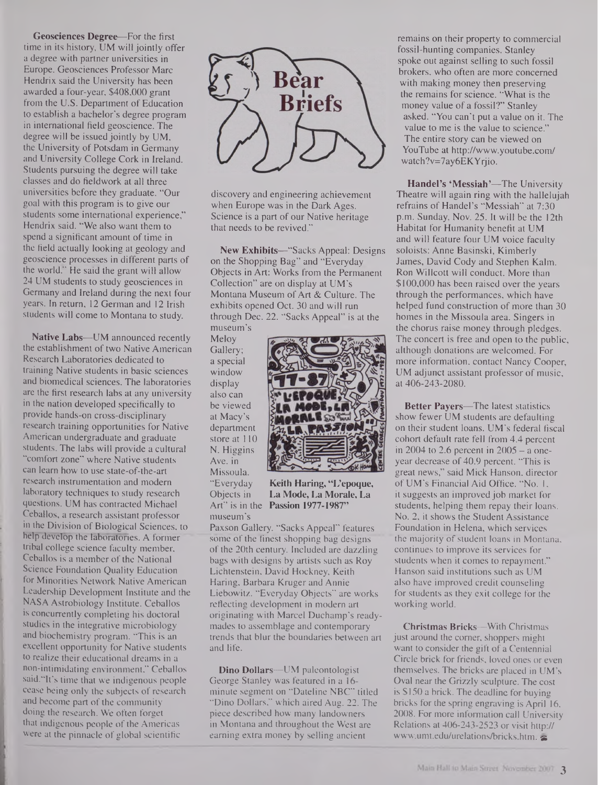**Geosciences Degree—**For the first time in its history, UM will jointly offer a degree with partner universities in Europe. Geosciences Professor Marc Hendrix said the University has been awarded a four-year, \$408,000 grant from the U.S. Department of Education to establish a bachelor's degree program in international field geoscience. The degree will be issued jointly by UM, the University of Potsdam in Germany and University College Cork in Ireland. Students pursuing the degree will take classes and do fieldwork at all three universities before they graduate. "Our goal with this program is to give our students some international experience," Hendrix said. "We also want them to spend a significant amount of time in the field actually looking at geology and geoscience processes in different parts of the world." He said the grant will allow 24 UM students to study geosciences in Germany and Ireland during the next four years. In return, 12 German and 12 Irish students will come to Montana to study.

**Native Labs—**UM announced recently the establishment of two Native American Research Laboratories dedicated to training Native students in basic sciences and biomedical sciences. The laboratories are the first research labs at any university in the nation developed specifically to provide hands-on cross-disciplinary research training opportunities for Native American undergraduate and graduate students. The labs will provide a cultural "comfort zone" where Native students can learn how to use state-of-the-art research instrumentation and modem laboratory techniques to study research questions. UM has contracted Michael Ceballos, a research assistant professor in the Division of Biological Sciences, to help develop the Iaboratories. A former tribal college science faculty member, Ceballos is a member of the National Science Foundation Quality Education for Minorities Network Native American Leadership Development Institute and the NASA Astrobiology Institute. Ceballos is concurrently completing his doctoral studies in the integrative microbiology and biochemistry program. "This is an excellent opportunity for Native students to realize their educational dreams in a non-intimidating environment," Ceballos said."It's time that we indigenous people cease being only the subjects of research and become part of the community doing the research. We often forget that indigenous people of the Americas were at the pinnacle of global scientific



discovery and engineering achievement when Europe was in the Dark Ages. Science is a part of our Native heritage that needs to be revived."

**New Exhibits—**"Sacks Appeal: Designs on the Shopping Bag" and "Everyday Objects in Art: Works from the Permanent Collection" are on display at UM's Montana Museum of Art & Culture. The exhibits opened Oct. 30 and will run through Dec. 22. "Sacks Appeal" is at the museum's

Meloy Gallery; a special window display also can be viewed at Macy's department store at 110 N. Higgins Ave. in Missoula. "Everyday Objects in

museum's

Art" is in the **Passion 1977-1987" Keith Haring, "L'epoque, La Mode, La Morale, La**

Paxson Gallery. "Sacks Appeal" features some of the finest shopping bag designs of the 20th century. Included are dazzling bags with designs by artists such as Roy Lichtenstein, David Hockney, Keith Haring, Barbara Kruger and Annie Liebowitz. "Everyday Objects" are works reflecting development in modem art originating with Marcel Duchamp's readymades to assemblage and contemporary trends that blur the boundaries between art and life.

**Dino Dollars—**UM paleontologist George Stanley was featured in a 16 minute segment on "Dateline NBC" titled "Dino Dollars," which aired Aug. 22. The piece described how many landowners in Montana and throughout the West are earning extra money by selling ancient

remains on their property to commercial fossil-hunting companies. Stanley spoke out against selling to such fossil brokers, who often are more concerned with making money then preserving the remains for science. "What is the money value of a fossil?" Stanley asked. "You can't put a value on it. The value to me is the value to science." The entire story can be viewed on YouTube at <http://www.youtube.com/> **watch?v=7ay6EKY**rjio.

**Handel's 'Messiah'—**The University Theatre will again ring with the hallelujah refrains of Handel's "Messiah" at 7:30 p.m. Sunday, Nov. 25. It will be the 12th Habitat for Humanity benefit at UM and will feature four UM voice faculty soloists: Anne Basinski, Kimberly James, David Cody and Stephen Kalm. Ron Willcott will conduct. More than \$100,000 has been raised over the years through the performances, which have helped fund construction of more than 30 homes in the Missoula area. Singers in the chorus raise money through pledges. The concert is free and open to the public, although donations are welcomed. For more information, contact Nancy Cooper, UM adjunct assistant professor of music, at 406-243-2080.

**Better Payers—**The latest statistics show fewer UM students are defaulting on their student loans. UM's federal fiscal cohort default rate fell from 4.4 percent in 2004 to 2.6 percent in  $2005 - a$  oneyear decrease of 40.9 percent. "This is great news," said Mick Hanson, director of UM's Financial Aid Office. "No. 1, it suggests an improved job market for students, helping them repay their loans. No. 2, it shows the Student Assistance Foundation in Helena, which services the majority of student loans in Montana, continues to improve its services for students when it comes to repayment." Hanson said institutions such as UM also have improved credit counseling for students as they exit college for the working world.

**Christmas Bricks—**With Christmas just around the comer, shoppers might want to consider the gift of a Centennial Circle brick for friends, loved ones or even themselves. The bricks are placed in UM's Oval near the Grizzly sculpture. The cost is \$150 a brick. The deadline for buying bricks for the spring engraving is April 16, 2008. For more information call University Relations at 406-243-2523 or visit http:// [www.umt.edu/urelations/bricks.htm](http://www.umt.edu/urelations/bricks.htm).